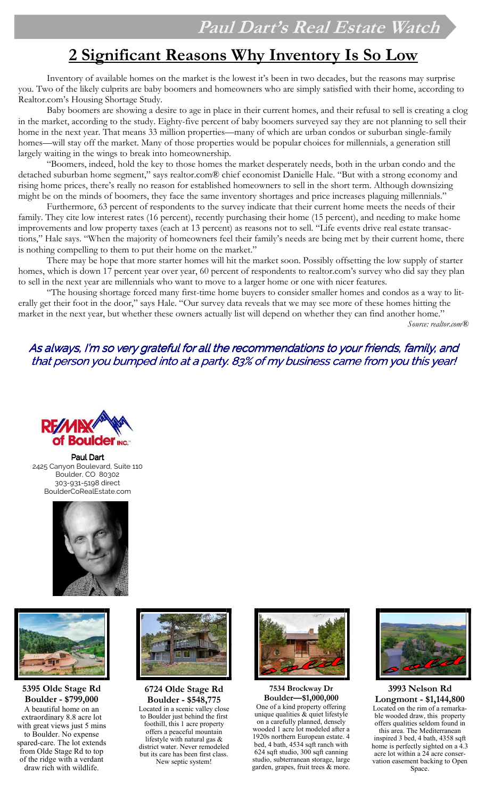## **2 Significant Reasons Why Inventory Is So Low**

 Inventory of available homes on the market is the lowest it's been in two decades, but the reasons may surprise you. Two of the likely culprits are baby boomers and homeowners who are simply satisfied with their home, according to Realtor.com's Housing Shortage Study.

 Baby boomers are showing a desire to age in place in their current homes, and their refusal to sell is creating a clog in the market, according to the study. Eighty-five percent of baby boomers surveyed say they are not planning to sell their home in the next year. That means 33 million properties—many of which are urban condos or suburban single-family homes—will stay off the market. Many of those properties would be popular choices for millennials, a generation still largely waiting in the wings to break into homeownership.

 "Boomers, indeed, hold the key to those homes the market desperately needs, both in the urban condo and the detached suburban home segment," says realtor.com® chief economist Danielle Hale. "But with a strong economy and rising home prices, there's really no reason for established homeowners to sell in the short term. Although downsizing might be on the minds of boomers, they face the same inventory shortages and price increases plaguing millennials."

 Furthermore, 63 percent of respondents to the survey indicate that their current home meets the needs of their family. They cite low interest rates (16 percent), recently purchasing their home (15 percent), and needing to make home improvements and low property taxes (each at 13 percent) as reasons not to sell. "Life events drive real estate transactions," Hale says. "When the majority of homeowners feel their family's needs are being met by their current home, there is nothing compelling to them to put their home on the market."

 There may be hope that more starter homes will hit the market soon. Possibly offsetting the low supply of starter homes, which is down 17 percent year over year, 60 percent of respondents to realtor.com's survey who did say they plan to sell in the next year are millennials who want to move to a larger home or one with nicer features.

 "The housing shortage forced many first-time home buyers to consider smaller homes and condos as a way to literally get their foot in the door," says Hale. "Our survey data reveals that we may see more of these homes hitting the market in the next year, but whether these owners actually list will depend on whether they can find another home."

*Source: realtor.com®* 

## As always, I'm so very grateful for all the recommendations to your friends, family, and that person you bumped into at a party. 83% of my business came from you this year!



Paul Dart 2425 Canyon Boulevard, Suite 110 Boulder, CO 80302 303-931-5198 direct BoulderCoRealEstate.com





**5395 Olde Stage Rd Boulder - \$799,000** A beautiful home on an extraordinary 8.8 acre lot with great views just 5 mins to Boulder. No expense spared-care. The lot extends from Olde Stage Rd to top of the ridge with a verdant draw rich with wildlife.



**6724 Olde Stage Rd Boulder - \$548,775** Located in a scenic valley close to Boulder just behind the first foothill, this 1 acre property offers a peaceful mountain lifestyle with natural gas & district water. Never remodeled but its care has been first class. New septic system!



**7534 Brockway Dr Boulder—\$1,000,000**  One of a kind property offering unique qualities & quiet lifestyle on a carefully planned, densely wooded 1 acre lot modeled after a 1920s northern European estate. 4 bed, 4 bath, 4534 sqft ranch with 624 sqft studio, 300 sqft canning studio, subterranean storage, large garden, grapes, fruit trees & more.



**3993 Nelson Rd Longmont - \$1,144,800** Located on the rim of a remarkable wooded draw, this property offers qualities seldom found in this area. The Mediterranean inspired 3 bed, 4 bath, 4358 sqft home is perfectly sighted on a 4.3 acre lot within a 24 acre conservation easement backing to Open Space.